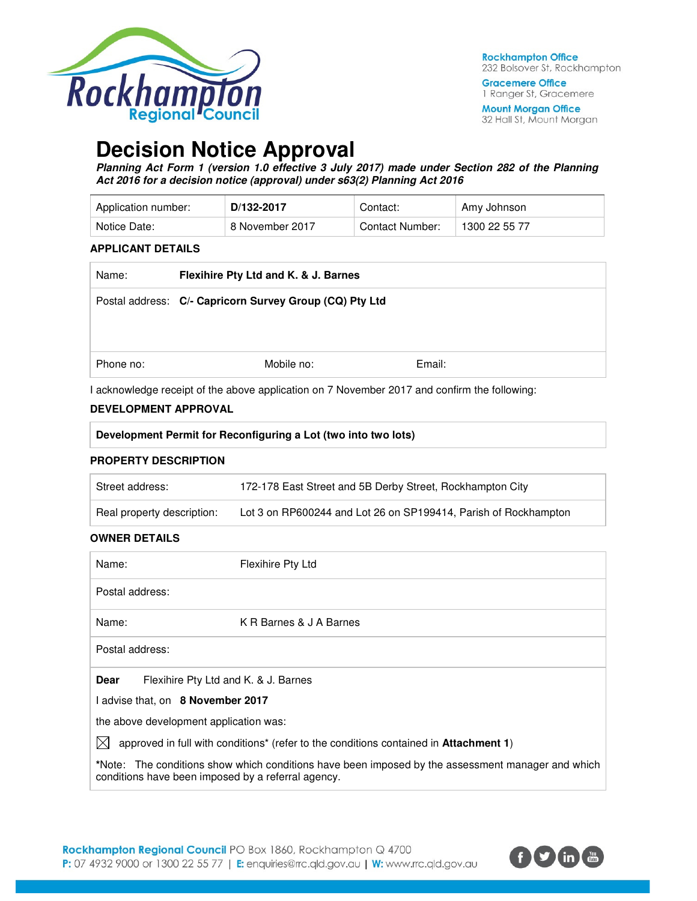

**Gracemere Office** 1 Ranger St, Gracemere

**Mount Morgan Office** 32 Hall St, Mount Morgan

# **Decision Notice Approval**

**Planning Act Form 1 (version 1.0 effective 3 July 2017) made under Section 282 of the Planning Act 2016 for a decision notice (approval) under s63(2) Planning Act 2016** 

| Application number: | D/132-2017      | Contact:        | Amy Johnson   |
|---------------------|-----------------|-----------------|---------------|
| Notice Date:        | 8 November 2017 | Contact Number: | 1300 22 55 77 |

### **APPLICANT DETAILS**

| Name:     | Flexihire Pty Ltd and K. & J. Barnes                    |        |  |
|-----------|---------------------------------------------------------|--------|--|
|           | Postal address: C/- Capricorn Survey Group (CQ) Pty Ltd |        |  |
|           |                                                         |        |  |
|           |                                                         |        |  |
| Phone no: | Mobile no:                                              | Email: |  |

I acknowledge receipt of the above application on 7 November 2017 and confirm the following:

### **DEVELOPMENT APPROVAL**

| Development Permit for Reconfiguring a Lot (two into two lots)                                                   |                                                                 |  |  |  |
|------------------------------------------------------------------------------------------------------------------|-----------------------------------------------------------------|--|--|--|
| <b>PROPERTY DESCRIPTION</b>                                                                                      |                                                                 |  |  |  |
| Street address:                                                                                                  | 172-178 East Street and 5B Derby Street, Rockhampton City       |  |  |  |
| Real property description:                                                                                       | Lot 3 on RP600244 and Lot 26 on SP199414, Parish of Rockhampton |  |  |  |
| <b>OWNER DETAILS</b>                                                                                             |                                                                 |  |  |  |
| Name:                                                                                                            | Flexihire Pty Ltd                                               |  |  |  |
| Postal address:                                                                                                  |                                                                 |  |  |  |
| Name:                                                                                                            | K R Barnes & J A Barnes                                         |  |  |  |
| Postal address:                                                                                                  |                                                                 |  |  |  |
| Flexihire Pty Ltd and K. & J. Barnes<br>Dear                                                                     |                                                                 |  |  |  |
| I advise that, on 8 November 2017                                                                                |                                                                 |  |  |  |
| the above development application was:                                                                           |                                                                 |  |  |  |
| $\boxtimes$<br>approved in full with conditions <sup>*</sup> (refer to the conditions contained in Attachment 1) |                                                                 |  |  |  |

**\***Note:The conditions show which conditions have been imposed by the assessment manager and which conditions have been imposed by a referral agency.

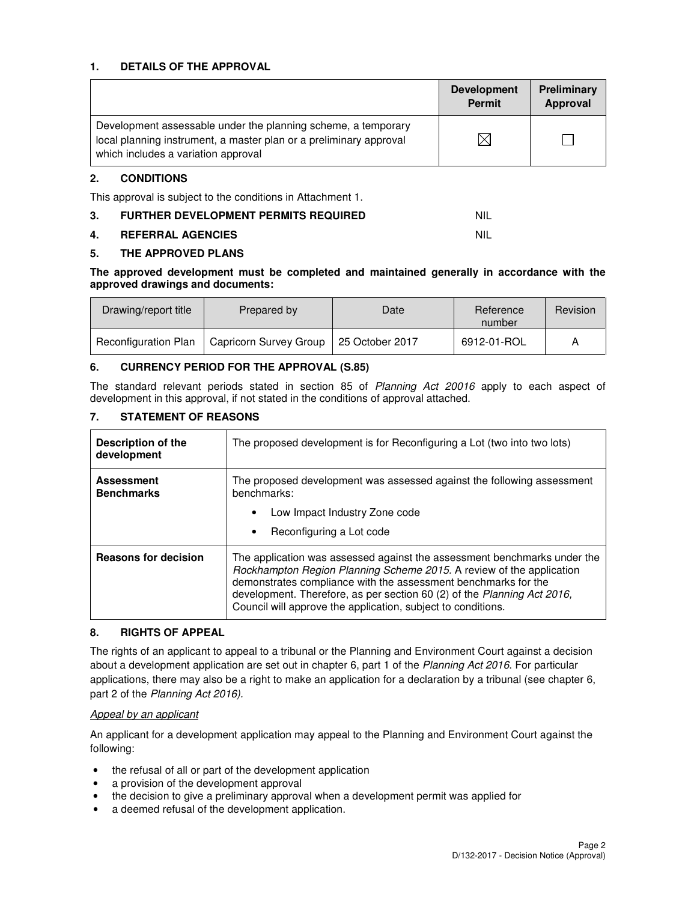### **1. DETAILS OF THE APPROVAL**

|                                                                                                                                                                            | <b>Development</b><br><b>Permit</b> | Preliminary<br>Approval |
|----------------------------------------------------------------------------------------------------------------------------------------------------------------------------|-------------------------------------|-------------------------|
| Development assessable under the planning scheme, a temporary<br>local planning instrument, a master plan or a preliminary approval<br>which includes a variation approval |                                     |                         |

### **2. CONDITIONS**

This approval is subject to the conditions in Attachment 1.

| 3. | <b>FURTHER DEVELOPMENT PERMITS REQUIRED</b> |  |
|----|---------------------------------------------|--|
|----|---------------------------------------------|--|

### **4. REFERRAL AGENCIES** NIL

### **5. THE APPROVED PLANS**

**The approved development must be completed and maintained generally in accordance with the approved drawings and documents:** 

| Drawing/report title        | Prepared by            | Date            | Reference<br>number | Revision |
|-----------------------------|------------------------|-----------------|---------------------|----------|
| <b>Reconfiguration Plan</b> | Capricorn Survey Group | 25 October 2017 | 6912-01-ROL         |          |

## **6. CURRENCY PERIOD FOR THE APPROVAL (S.85)**

The standard relevant periods stated in section 85 of Planning Act 20016 apply to each aspect of development in this approval, if not stated in the conditions of approval attached.

## **7. STATEMENT OF REASONS**

| <b>Description of the</b><br>development | The proposed development is for Reconfiguring a Lot (two into two lots)                                                                                                                                                                                                                                                                                       |  |
|------------------------------------------|---------------------------------------------------------------------------------------------------------------------------------------------------------------------------------------------------------------------------------------------------------------------------------------------------------------------------------------------------------------|--|
| <b>Assessment</b><br><b>Benchmarks</b>   | The proposed development was assessed against the following assessment<br>benchmarks:<br>Low Impact Industry Zone code<br>Reconfiguring a Lot code                                                                                                                                                                                                            |  |
| <b>Reasons for decision</b>              | The application was assessed against the assessment benchmarks under the<br>Rockhampton Region Planning Scheme 2015. A review of the application<br>demonstrates compliance with the assessment benchmarks for the<br>development. Therefore, as per section 60 (2) of the Planning Act 2016,<br>Council will approve the application, subject to conditions. |  |

### **8. RIGHTS OF APPEAL**

The rights of an applicant to appeal to a tribunal or the Planning and Environment Court against a decision about a development application are set out in chapter 6, part 1 of the Planning Act 2016. For particular applications, there may also be a right to make an application for a declaration by a tribunal (see chapter 6, part 2 of the Planning Act 2016).

### Appeal by an applicant

An applicant for a development application may appeal to the Planning and Environment Court against the following:

- the refusal of all or part of the development application
- a provision of the development approval
- the decision to give a preliminary approval when a development permit was applied for
- a deemed refusal of the development application.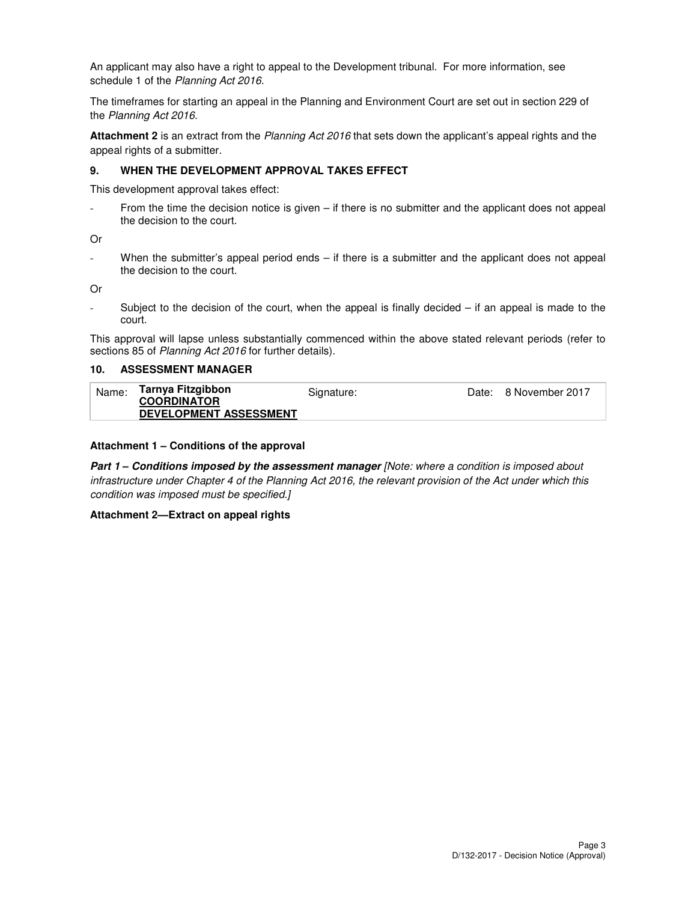An applicant may also have a right to appeal to the Development tribunal. For more information, see schedule 1 of the Planning Act 2016.

The timeframes for starting an appeal in the Planning and Environment Court are set out in section 229 of the Planning Act 2016.

**Attachment 2** is an extract from the Planning Act 2016 that sets down the applicant's appeal rights and the appeal rights of a submitter.

### **9. WHEN THE DEVELOPMENT APPROVAL TAKES EFFECT**

This development approval takes effect:

From the time the decision notice is given  $-$  if there is no submitter and the applicant does not appeal the decision to the court.

Or

When the submitter's appeal period ends – if there is a submitter and the applicant does not appeal the decision to the court.

Or

Subject to the decision of the court, when the appeal is finally decided  $-$  if an appeal is made to the court.

This approval will lapse unless substantially commenced within the above stated relevant periods (refer to sections 85 of Planning Act 2016 for further details).

### **10. ASSESSMENT MANAGER**

| Name: | Tarnya Fitzgibbon             | Signature: | Date: 8 November 2017 |
|-------|-------------------------------|------------|-----------------------|
|       | <b>COORDINATOR</b>            |            |                       |
|       | <b>DEVELOPMENT ASSESSMENT</b> |            |                       |

### **Attachment 1 – Conditions of the approval**

**Part 1 – Conditions imposed by the assessment manager** [Note: where a condition is imposed about infrastructure under Chapter 4 of the Planning Act 2016, the relevant provision of the Act under which this condition was imposed must be specified.]

### **Attachment 2—Extract on appeal rights**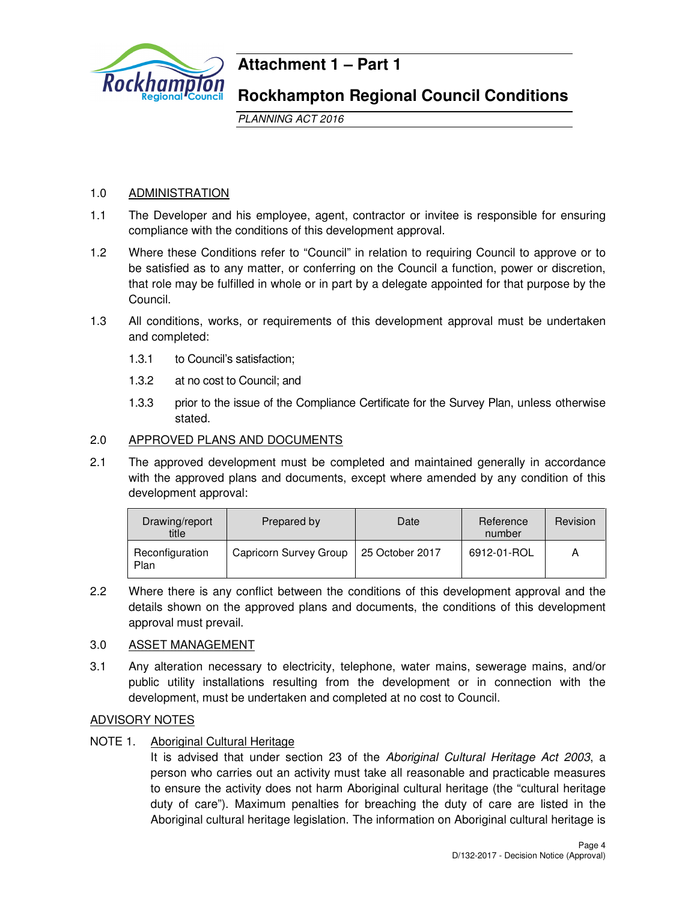

# **Attachment 1 – Part 1**

# **Rockhampton Regional Council Conditions**

PLANNING ACT 2016

# 1.0 ADMINISTRATION

- 1.1 The Developer and his employee, agent, contractor or invitee is responsible for ensuring compliance with the conditions of this development approval.
- 1.2 Where these Conditions refer to "Council" in relation to requiring Council to approve or to be satisfied as to any matter, or conferring on the Council a function, power or discretion, that role may be fulfilled in whole or in part by a delegate appointed for that purpose by the Council.
- 1.3 All conditions, works, or requirements of this development approval must be undertaken and completed:
	- 1.3.1 to Council's satisfaction;
	- 1.3.2 at no cost to Council; and
	- 1.3.3 prior to the issue of the Compliance Certificate for the Survey Plan, unless otherwise stated.

# 2.0 APPROVED PLANS AND DOCUMENTS

2.1 The approved development must be completed and maintained generally in accordance with the approved plans and documents, except where amended by any condition of this development approval:

| Drawing/report<br>title | Prepared by            | Date            | Reference<br>number | Revision |
|-------------------------|------------------------|-----------------|---------------------|----------|
| Reconfiguration<br>Plan | Capricorn Survey Group | 25 October 2017 | 6912-01-ROL         | А        |

2.2 Where there is any conflict between the conditions of this development approval and the details shown on the approved plans and documents, the conditions of this development approval must prevail.

# 3.0 ASSET MANAGEMENT

3.1 Any alteration necessary to electricity, telephone, water mains, sewerage mains, and/or public utility installations resulting from the development or in connection with the development, must be undertaken and completed at no cost to Council.

# ADVISORY NOTES

NOTE 1. Aboriginal Cultural Heritage

It is advised that under section 23 of the Aboriginal Cultural Heritage Act 2003, a person who carries out an activity must take all reasonable and practicable measures to ensure the activity does not harm Aboriginal cultural heritage (the "cultural heritage duty of care"). Maximum penalties for breaching the duty of care are listed in the Aboriginal cultural heritage legislation. The information on Aboriginal cultural heritage is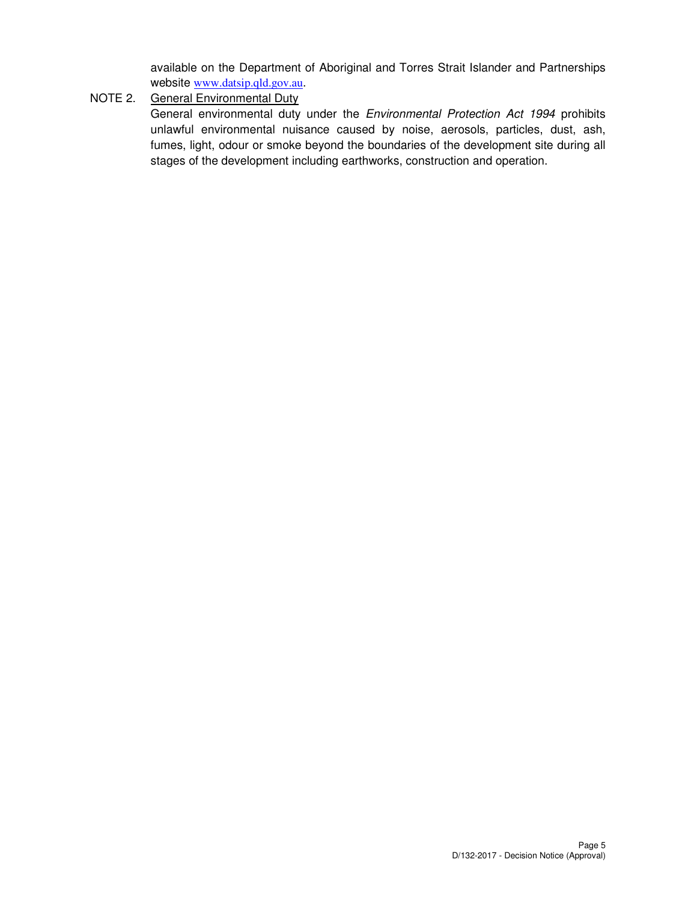available on the Department of Aboriginal and Torres Strait Islander and Partnerships website www.datsip.qld.gov.au.

NOTE 2. General Environmental Duty

General environmental duty under the Environmental Protection Act 1994 prohibits unlawful environmental nuisance caused by noise, aerosols, particles, dust, ash, fumes, light, odour or smoke beyond the boundaries of the development site during all stages of the development including earthworks, construction and operation.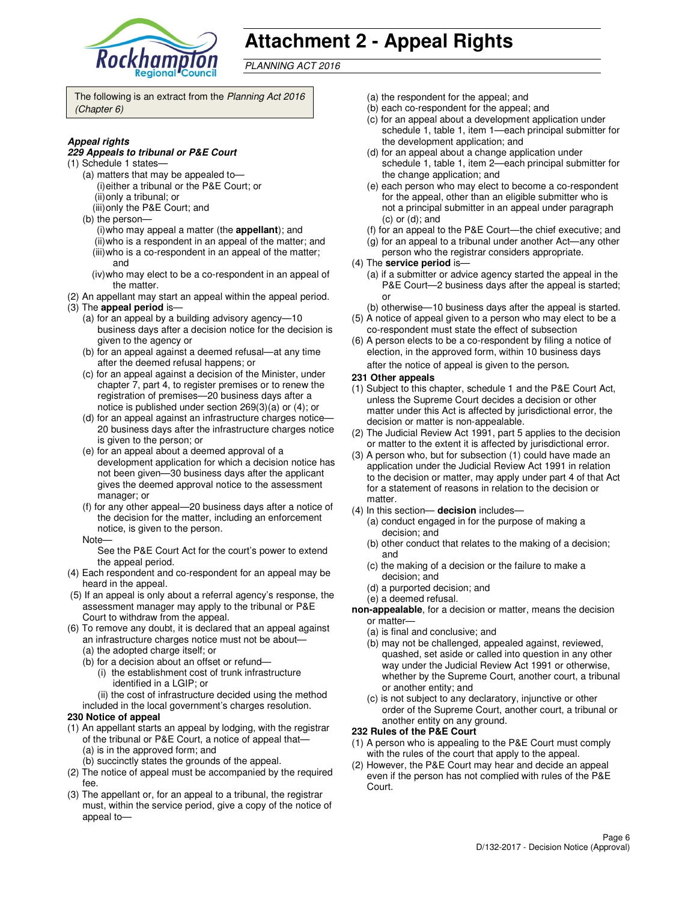

# **Attachment 2 - Appeal Rights**

PLANNING ACT 2016

The following is an extract from the Planning Act 2016 (Chapter 6)

### **Appeal rights**

#### **229 Appeals to tribunal or P&E Court**

- (1) Schedule 1 states—
	- (a) matters that may be appealed to— (i) either a tribunal or the P&E Court; or (ii) only a tribunal; or
	- (iii) only the P&E Court; and
	- (b) the person—
		- (i) who may appeal a matter (the **appellant**); and (ii) who is a respondent in an appeal of the matter; and (iii) who is a co-respondent in an appeal of the matter;
		- and (iv) who may elect to be a co-respondent in an appeal of
	- the matter.
- (2) An appellant may start an appeal within the appeal period. (3) The **appeal period** is—
	- (a) for an appeal by a building advisory agency—10 business days after a decision notice for the decision is given to the agency or
	- (b) for an appeal against a deemed refusal—at any time after the deemed refusal happens; or
	- (c) for an appeal against a decision of the Minister, under chapter 7, part 4, to register premises or to renew the registration of premises—20 business days after a notice is published under section 269(3)(a) or (4); or
	- (d) for an appeal against an infrastructure charges notice— 20 business days after the infrastructure charges notice is given to the person; or
	- (e) for an appeal about a deemed approval of a development application for which a decision notice has not been given—30 business days after the applicant gives the deemed approval notice to the assessment manager; or
	- (f) for any other appeal—20 business days after a notice of the decision for the matter, including an enforcement notice, is given to the person.
	- Note—

See the P&E Court Act for the court's power to extend the appeal period.

- (4) Each respondent and co-respondent for an appeal may be heard in the appeal.
- (5) If an appeal is only about a referral agency's response, the assessment manager may apply to the tribunal or P&E Court to withdraw from the appeal.
- (6) To remove any doubt, it is declared that an appeal against an infrastructure charges notice must not be about—
	- (a) the adopted charge itself; or
	- (b) for a decision about an offset or refund—
		- (i) the establishment cost of trunk infrastructure identified in a LGIP; or
		- (ii) the cost of infrastructure decided using the method
	- included in the local government's charges resolution.
- **230 Notice of appeal**
- (1) An appellant starts an appeal by lodging, with the registrar of the tribunal or P&E Court, a notice of appeal that— (a) is in the approved form; and
	- (b) succinctly states the grounds of the appeal.
- (2) The notice of appeal must be accompanied by the required fee.
- (3) The appellant or, for an appeal to a tribunal, the registrar must, within the service period, give a copy of the notice of appeal to—
- (a) the respondent for the appeal; and
- (b) each co-respondent for the appeal; and
- (c) for an appeal about a development application under schedule 1, table 1, item 1—each principal submitter for the development application; and
- (d) for an appeal about a change application under schedule 1, table 1, item 2—each principal submitter for the change application; and
- (e) each person who may elect to become a co-respondent for the appeal, other than an eligible submitter who is not a principal submitter in an appeal under paragraph (c) or (d); and
- (f) for an appeal to the P&E Court—the chief executive; and
- (g) for an appeal to a tribunal under another Act—any other
- person who the registrar considers appropriate.
- (4) The **service period** is—
	- (a) if a submitter or advice agency started the appeal in the P&E Court—2 business days after the appeal is started; or
- (b) otherwise—10 business days after the appeal is started. (5) A notice of appeal given to a person who may elect to be a
- co-respondent must state the effect of subsection (6) A person elects to be a co-respondent by filing a notice of
- election, in the approved form, within 10 business days after the notice of appeal is given to the person*.*
- **231 Other appeals**
- (1) Subject to this chapter, schedule 1 and the P&E Court Act, unless the Supreme Court decides a decision or other matter under this Act is affected by jurisdictional error, the decision or matter is non-appealable.
- (2) The Judicial Review Act 1991, part 5 applies to the decision or matter to the extent it is affected by jurisdictional error.
- (3) A person who, but for subsection (1) could have made an application under the Judicial Review Act 1991 in relation to the decision or matter, may apply under part 4 of that Act for a statement of reasons in relation to the decision or matter.
- (4) In this section— **decision** includes—
	- (a) conduct engaged in for the purpose of making a decision; and
	- (b) other conduct that relates to the making of a decision; and
	- (c) the making of a decision or the failure to make a decision; and
	- (d) a purported decision; and
	- (e) a deemed refusal.
- **non-appealable**, for a decision or matter, means the decision or matter—
	- (a) is final and conclusive; and
	- (b) may not be challenged, appealed against, reviewed, quashed, set aside or called into question in any other way under the Judicial Review Act 1991 or otherwise, whether by the Supreme Court, another court, a tribunal or another entity; and
	- (c) is not subject to any declaratory, injunctive or other order of the Supreme Court, another court, a tribunal or another entity on any ground.

### **232 Rules of the P&E Court**

- (1) A person who is appealing to the P&E Court must comply with the rules of the court that apply to the appeal.
- (2) However, the P&E Court may hear and decide an appeal even if the person has not complied with rules of the P&E Court.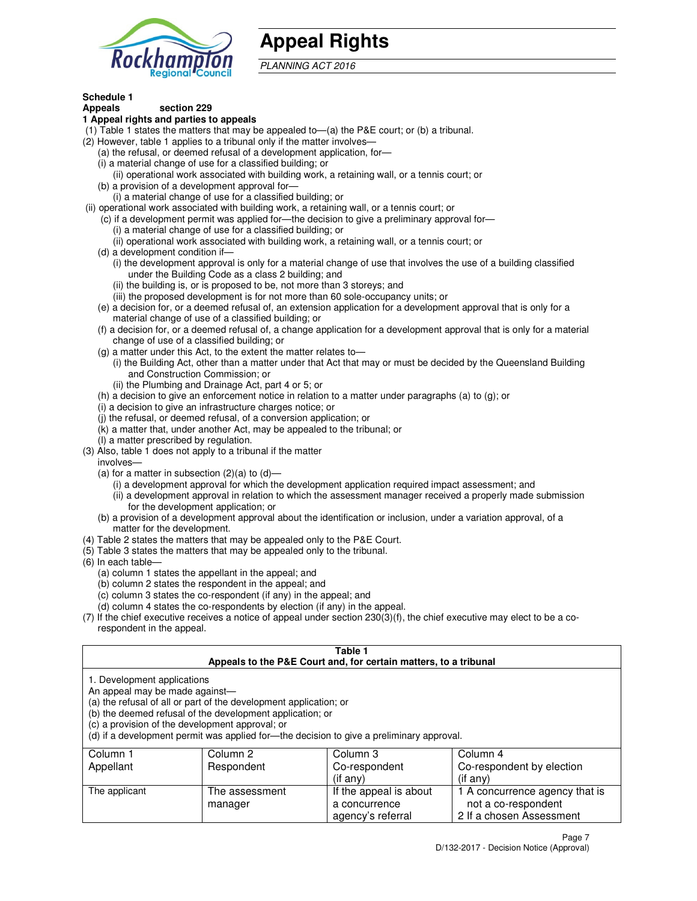

# **Appeal Rights**

PLANNING ACT 2016

#### **Schedule 1 Appeals section 229**

# **1 Appeal rights and parties to appeals**

- (1) Table 1 states the matters that may be appealed to—(a) the P&E court; or (b) a tribunal.
- (2) However, table 1 applies to a tribunal only if the matter involves—
	- (a) the refusal, or deemed refusal of a development application, for—
	- (i) a material change of use for a classified building; or
	- (ii) operational work associated with building work, a retaining wall, or a tennis court; or (b) a provision of a development approval for—
	- (i) a material change of use for a classified building; or
- (ii) operational work associated with building work, a retaining wall, or a tennis court; or
	- (c) if a development permit was applied for—the decision to give a preliminary approval for—
		- (i) a material change of use for a classified building; or
		- (ii) operational work associated with building work, a retaining wall, or a tennis court; or
	- (d) a development condition if—
		- (i) the development approval is only for a material change of use that involves the use of a building classified under the Building Code as a class 2 building; and
		- (ii) the building is, or is proposed to be, not more than 3 storeys; and
		- (iii) the proposed development is for not more than 60 sole-occupancy units; or
	- (e) a decision for, or a deemed refusal of, an extension application for a development approval that is only for a material change of use of a classified building; or
	- (f) a decision for, or a deemed refusal of, a change application for a development approval that is only for a material change of use of a classified building; or
	- (g) a matter under this Act, to the extent the matter relates to—
		- (i) the Building Act, other than a matter under that Act that may or must be decided by the Queensland Building and Construction Commission; or
		- (ii) the Plumbing and Drainage Act, part 4 or 5; or
	- (h) a decision to give an enforcement notice in relation to a matter under paragraphs (a) to (g); or
	- (i) a decision to give an infrastructure charges notice; or
	- (j) the refusal, or deemed refusal, of a conversion application; or
	- (k) a matter that, under another Act, may be appealed to the tribunal; or
	- (l) a matter prescribed by regulation.
- (3) Also, table 1 does not apply to a tribunal if the matter
- involves—
	- (a) for a matter in subsection  $(2)(a)$  to  $(d)$ 
		- (i) a development approval for which the development application required impact assessment; and
		- (ii) a development approval in relation to which the assessment manager received a properly made submission for the development application; or
	- (b) a provision of a development approval about the identification or inclusion, under a variation approval, of a matter for the development.
- (4) Table 2 states the matters that may be appealed only to the P&E Court.
- (5) Table 3 states the matters that may be appealed only to the tribunal.
- (6) In each table—
	- (a) column 1 states the appellant in the appeal; and
	- (b) column 2 states the respondent in the appeal; and
	- (c) column 3 states the co-respondent (if any) in the appeal; and
	- (d) column 4 states the co-respondents by election (if any) in the appeal.
- (7) If the chief executive receives a notice of appeal under section 230(3)(f), the chief executive may elect to be a corespondent in the appeal.

## **Table 1**

| Appeals to the P&E Court and, for certain matters, to a tribunal |                                                                                                                                                                                   |                                                                                          |                                                       |  |
|------------------------------------------------------------------|-----------------------------------------------------------------------------------------------------------------------------------------------------------------------------------|------------------------------------------------------------------------------------------|-------------------------------------------------------|--|
| 1. Development applications<br>An appeal may be made against-    | (a) the refusal of all or part of the development application; or<br>(b) the deemed refusal of the development application; or<br>(c) a provision of the development approval; or | (d) if a development permit was applied for—the decision to give a preliminary approval. |                                                       |  |
| Column 1                                                         | Column 2                                                                                                                                                                          | Column 3                                                                                 | Column 4                                              |  |
| Appellant                                                        | Respondent                                                                                                                                                                        | Co-respondent                                                                            | Co-respondent by election                             |  |
|                                                                  |                                                                                                                                                                                   | $($ if any $)$                                                                           | $(if$ any)                                            |  |
| The applicant                                                    | The assessment<br>manager                                                                                                                                                         | If the appeal is about<br>a concurrence                                                  | 1 A concurrence agency that is<br>not a co-respondent |  |

agency's referral

2 If a chosen Assessment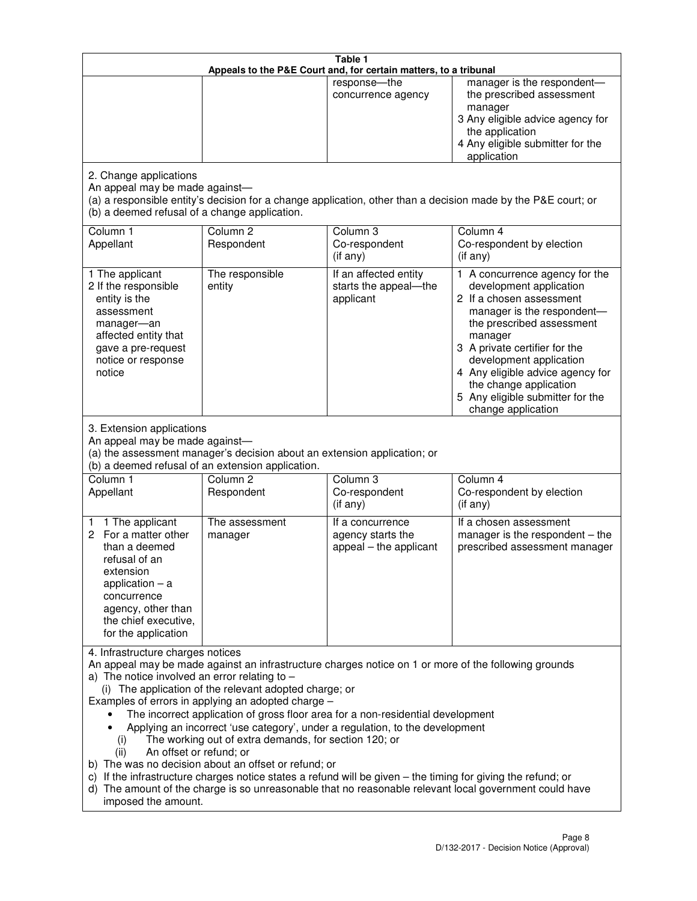| Table 1<br>Appeals to the P&E Court and, for certain matters, to a tribunal                                                                                                                                                                                                                                                                                                                                                                                                                                                                                                                                                                                                                                                                                                                                                                                                                 |                                                                                                                                                                    |                                                                             |                                                                                                                                                                                                                                                                                                                                                 |  |
|---------------------------------------------------------------------------------------------------------------------------------------------------------------------------------------------------------------------------------------------------------------------------------------------------------------------------------------------------------------------------------------------------------------------------------------------------------------------------------------------------------------------------------------------------------------------------------------------------------------------------------------------------------------------------------------------------------------------------------------------------------------------------------------------------------------------------------------------------------------------------------------------|--------------------------------------------------------------------------------------------------------------------------------------------------------------------|-----------------------------------------------------------------------------|-------------------------------------------------------------------------------------------------------------------------------------------------------------------------------------------------------------------------------------------------------------------------------------------------------------------------------------------------|--|
|                                                                                                                                                                                                                                                                                                                                                                                                                                                                                                                                                                                                                                                                                                                                                                                                                                                                                             |                                                                                                                                                                    | response-the<br>concurrence agency                                          | manager is the respondent-<br>the prescribed assessment<br>manager<br>3 Any eligible advice agency for<br>the application<br>4 Any eligible submitter for the<br>application                                                                                                                                                                    |  |
| 2. Change applications<br>An appeal may be made against-<br>(b) a deemed refusal of a change application.                                                                                                                                                                                                                                                                                                                                                                                                                                                                                                                                                                                                                                                                                                                                                                                   |                                                                                                                                                                    |                                                                             | (a) a responsible entity's decision for a change application, other than a decision made by the P&E court; or                                                                                                                                                                                                                                   |  |
| Column 1<br>Appellant                                                                                                                                                                                                                                                                                                                                                                                                                                                                                                                                                                                                                                                                                                                                                                                                                                                                       | Column <sub>2</sub><br>Respondent                                                                                                                                  | Column 3<br>Co-respondent<br>(if any)                                       | Column 4<br>Co-respondent by election<br>(if any)                                                                                                                                                                                                                                                                                               |  |
| 1 The applicant<br>2 If the responsible<br>entity is the<br>assessment<br>manager-an<br>affected entity that<br>gave a pre-request<br>notice or response<br>notice                                                                                                                                                                                                                                                                                                                                                                                                                                                                                                                                                                                                                                                                                                                          | The responsible<br>entity                                                                                                                                          | If an affected entity<br>starts the appeal-the<br>applicant                 | 1 A concurrence agency for the<br>development application<br>2 If a chosen assessment<br>manager is the respondent-<br>the prescribed assessment<br>manager<br>3 A private certifier for the<br>development application<br>4 Any eligible advice agency for<br>the change application<br>5 Any eligible submitter for the<br>change application |  |
| 3. Extension applications<br>An appeal may be made against-<br>Column 1<br>Appellant                                                                                                                                                                                                                                                                                                                                                                                                                                                                                                                                                                                                                                                                                                                                                                                                        | (a) the assessment manager's decision about an extension application; or<br>(b) a deemed refusal of an extension application.<br>Column <sub>2</sub><br>Respondent | Column 3<br>Co-respondent                                                   | Column 4<br>Co-respondent by election                                                                                                                                                                                                                                                                                                           |  |
| 1 The applicant<br>1<br>2 For a matter other<br>than a deemed<br>refusal of an<br>extension<br>application $-$ a<br>concurrence<br>agency, other than<br>the chief executive,<br>for the application                                                                                                                                                                                                                                                                                                                                                                                                                                                                                                                                                                                                                                                                                        | The assessment<br>manager                                                                                                                                          | (if any)<br>If a concurrence<br>agency starts the<br>appeal - the applicant | (if any)<br>If a chosen assessment<br>manager is the respondent $-$ the<br>prescribed assessment manager                                                                                                                                                                                                                                        |  |
| 4. Infrastructure charges notices<br>An appeal may be made against an infrastructure charges notice on 1 or more of the following grounds<br>a) The notice involved an error relating to $-$<br>(i) The application of the relevant adopted charge; or<br>Examples of errors in applying an adopted charge -<br>The incorrect application of gross floor area for a non-residential development<br>Applying an incorrect 'use category', under a regulation, to the development<br>The working out of extra demands, for section 120; or<br>(i)<br>An offset or refund; or<br>(ii)<br>b) The was no decision about an offset or refund; or<br>c) If the infrastructure charges notice states a refund will be given - the timing for giving the refund; or<br>d) The amount of the charge is so unreasonable that no reasonable relevant local government could have<br>imposed the amount. |                                                                                                                                                                    |                                                                             |                                                                                                                                                                                                                                                                                                                                                 |  |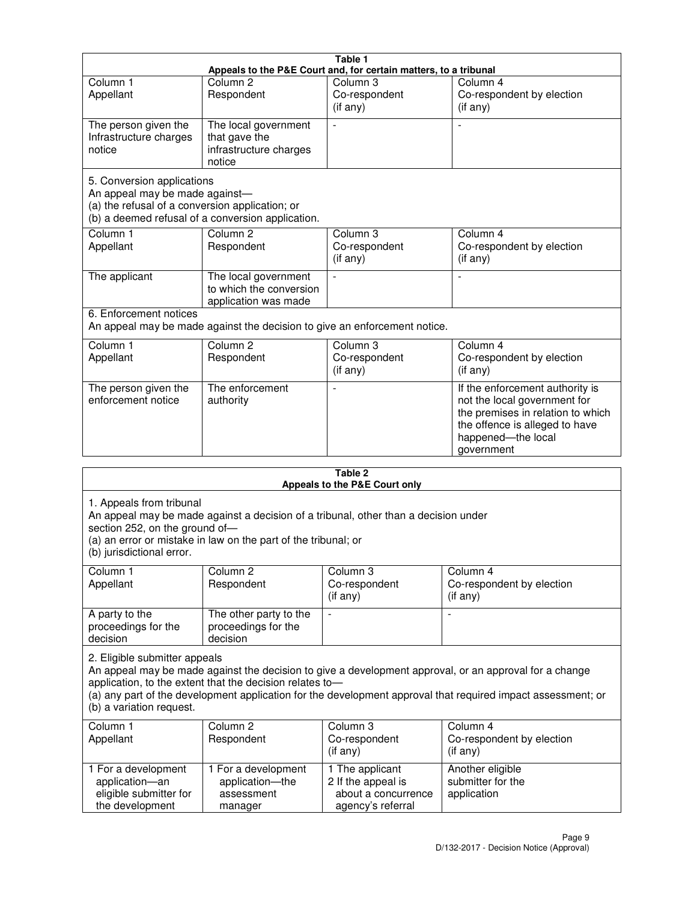| Table 1                                                                                                         |                                                                                                                 |                                                  |                                                                                                                                                                            |  |  |  |
|-----------------------------------------------------------------------------------------------------------------|-----------------------------------------------------------------------------------------------------------------|--------------------------------------------------|----------------------------------------------------------------------------------------------------------------------------------------------------------------------------|--|--|--|
| Column <sub>1</sub>                                                                                             | Appeals to the P&E Court and, for certain matters, to a tribunal<br>Column <sub>2</sub><br>Column 3<br>Column 4 |                                                  |                                                                                                                                                                            |  |  |  |
| Appellant                                                                                                       | Respondent                                                                                                      | Co-respondent<br>(if any)                        | Co-respondent by election<br>(if any)                                                                                                                                      |  |  |  |
| The person given the<br>Infrastructure charges<br>notice                                                        | The local government<br>that gave the<br>infrastructure charges<br>notice                                       | $\blacksquare$                                   |                                                                                                                                                                            |  |  |  |
| 5. Conversion applications<br>An appeal may be made against-<br>(a) the refusal of a conversion application; or | (b) a deemed refusal of a conversion application.                                                               |                                                  |                                                                                                                                                                            |  |  |  |
| Column <sub>1</sub><br>Appellant                                                                                | Column <sub>2</sub><br>Respondent                                                                               | Column <sub>3</sub><br>Co-respondent<br>(if any) | Column 4<br>Co-respondent by election<br>(if any)                                                                                                                          |  |  |  |
| The applicant                                                                                                   | The local government<br>to which the conversion<br>application was made                                         |                                                  |                                                                                                                                                                            |  |  |  |
| 6. Enforcement notices                                                                                          | An appeal may be made against the decision to give an enforcement notice.                                       |                                                  |                                                                                                                                                                            |  |  |  |
| Column <sub>1</sub><br>Appellant                                                                                | Column <sub>2</sub><br>Respondent                                                                               | Column 3<br>Co-respondent<br>(if any)            | Column 4<br>Co-respondent by election<br>(if any)                                                                                                                          |  |  |  |
| The person given the<br>enforcement notice                                                                      | The enforcement<br>authority                                                                                    |                                                  | If the enforcement authority is<br>not the local government for<br>the premises in relation to which<br>the offence is alleged to have<br>happened-the local<br>government |  |  |  |
| 2 Tahle                                                                                                         |                                                                                                                 |                                                  |                                                                                                                                                                            |  |  |  |

| i avic 4<br>Appeals to the P&E Court only                                                                                                                                                                                                                                                                                                       |                                                                                                                                                       |                                                                                   |                                                         |  |  |  |
|-------------------------------------------------------------------------------------------------------------------------------------------------------------------------------------------------------------------------------------------------------------------------------------------------------------------------------------------------|-------------------------------------------------------------------------------------------------------------------------------------------------------|-----------------------------------------------------------------------------------|---------------------------------------------------------|--|--|--|
| 1. Appeals from tribunal<br>section 252, on the ground of-<br>(b) jurisdictional error.                                                                                                                                                                                                                                                         | An appeal may be made against a decision of a tribunal, other than a decision under<br>(a) an error or mistake in law on the part of the tribunal; or |                                                                                   |                                                         |  |  |  |
| Column 1<br>Appellant                                                                                                                                                                                                                                                                                                                           | Column <sub>2</sub><br>Respondent                                                                                                                     | Column <sub>3</sub><br>Co-respondent<br>(i f any)                                 | Column 4<br>Co-respondent by election<br>(if any)       |  |  |  |
| A party to the<br>proceedings for the<br>decision                                                                                                                                                                                                                                                                                               | The other party to the<br>proceedings for the<br>decision                                                                                             | $\overline{\phantom{0}}$                                                          |                                                         |  |  |  |
| 2. Eligible submitter appeals<br>An appeal may be made against the decision to give a development approval, or an approval for a change<br>application, to the extent that the decision relates to-<br>(a) any part of the development application for the development approval that required impact assessment; or<br>(b) a variation request. |                                                                                                                                                       |                                                                                   |                                                         |  |  |  |
| Column 1<br>Appellant                                                                                                                                                                                                                                                                                                                           | Column <sub>2</sub><br>Respondent                                                                                                                     | Column 3<br>Co-respondent<br>(if any)                                             | Column 4<br>Co-respondent by election<br>$($ if any $)$ |  |  |  |
| 1 For a development<br>application-an<br>eligible submitter for<br>the development                                                                                                                                                                                                                                                              | 1 For a development<br>application-the<br>assessment<br>manager                                                                                       | 1 The applicant<br>2 If the appeal is<br>about a concurrence<br>agency's referral | Another eligible<br>submitter for the<br>application    |  |  |  |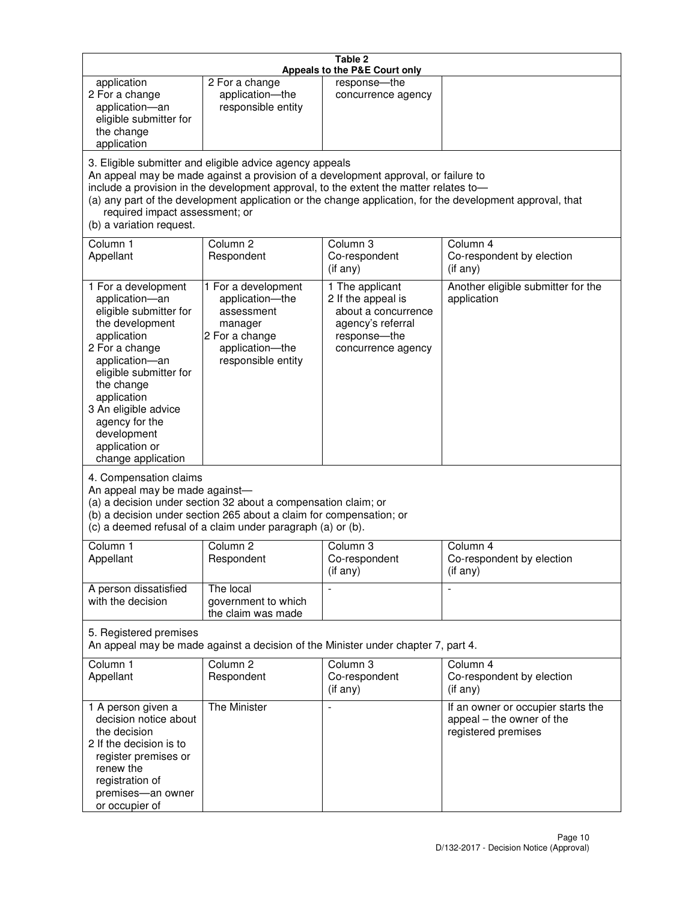|                                                                                                                                                                                                                                                                                               |                                                                                                                                                                                                                                         | Table 2<br>Appeals to the P&E Court only                                                                                |                                                                                                           |
|-----------------------------------------------------------------------------------------------------------------------------------------------------------------------------------------------------------------------------------------------------------------------------------------------|-----------------------------------------------------------------------------------------------------------------------------------------------------------------------------------------------------------------------------------------|-------------------------------------------------------------------------------------------------------------------------|-----------------------------------------------------------------------------------------------------------|
| application<br>2 For a change<br>application-an<br>eligible submitter for<br>the change<br>application                                                                                                                                                                                        | 2 For a change<br>application-the<br>responsible entity                                                                                                                                                                                 | response-the<br>concurrence agency                                                                                      |                                                                                                           |
| required impact assessment; or<br>(b) a variation request.                                                                                                                                                                                                                                    | 3. Eligible submitter and eligible advice agency appeals<br>An appeal may be made against a provision of a development approval, or failure to<br>include a provision in the development approval, to the extent the matter relates to- |                                                                                                                         | (a) any part of the development application or the change application, for the development approval, that |
| Column 1<br>Appellant                                                                                                                                                                                                                                                                         | Column <sub>2</sub><br>Respondent                                                                                                                                                                                                       | Column 3<br>Co-respondent<br>(if any)                                                                                   | Column 4<br>Co-respondent by election<br>(i f any)                                                        |
| 1 For a development<br>application-an<br>eligible submitter for<br>the development<br>application<br>2 For a change<br>application-an<br>eligible submitter for<br>the change<br>application<br>3 An eligible advice<br>agency for the<br>development<br>application or<br>change application | 1 For a development<br>application-the<br>assessment<br>manager<br>2 For a change<br>application-the<br>responsible entity                                                                                                              | 1 The applicant<br>2 If the appeal is<br>about a concurrence<br>agency's referral<br>response-the<br>concurrence agency | Another eligible submitter for the<br>application                                                         |
| 4. Compensation claims<br>An appeal may be made against-                                                                                                                                                                                                                                      | (a) a decision under section 32 about a compensation claim; or<br>(b) a decision under section 265 about a claim for compensation; or<br>(c) a deemed refusal of a claim under paragraph (a) or (b).                                    |                                                                                                                         |                                                                                                           |
| Column 1<br>Appellant                                                                                                                                                                                                                                                                         | Column 2<br>Respondent                                                                                                                                                                                                                  | Column 3<br>Co-respondent<br>(if any)                                                                                   | Column 4<br>Co-respondent by election<br>(i f any)                                                        |
| A person dissatisfied<br>with the decision                                                                                                                                                                                                                                                    | The local<br>government to which<br>the claim was made                                                                                                                                                                                  |                                                                                                                         | $\blacksquare$                                                                                            |
| 5. Registered premises                                                                                                                                                                                                                                                                        | An appeal may be made against a decision of the Minister under chapter 7, part 4.                                                                                                                                                       |                                                                                                                         |                                                                                                           |
| Column <sub>1</sub><br>Appellant                                                                                                                                                                                                                                                              | Column <sub>2</sub><br>Respondent                                                                                                                                                                                                       | Column 3<br>Co-respondent<br>(if any)                                                                                   | Column 4<br>Co-respondent by election<br>(if any)                                                         |
| 1 A person given a<br>decision notice about<br>the decision<br>2 If the decision is to<br>register premises or<br>renew the<br>registration of<br>premises-an owner<br>or occupier of                                                                                                         | The Minister                                                                                                                                                                                                                            | $\overline{\phantom{a}}$                                                                                                | If an owner or occupier starts the<br>appeal – the owner of the<br>registered premises                    |